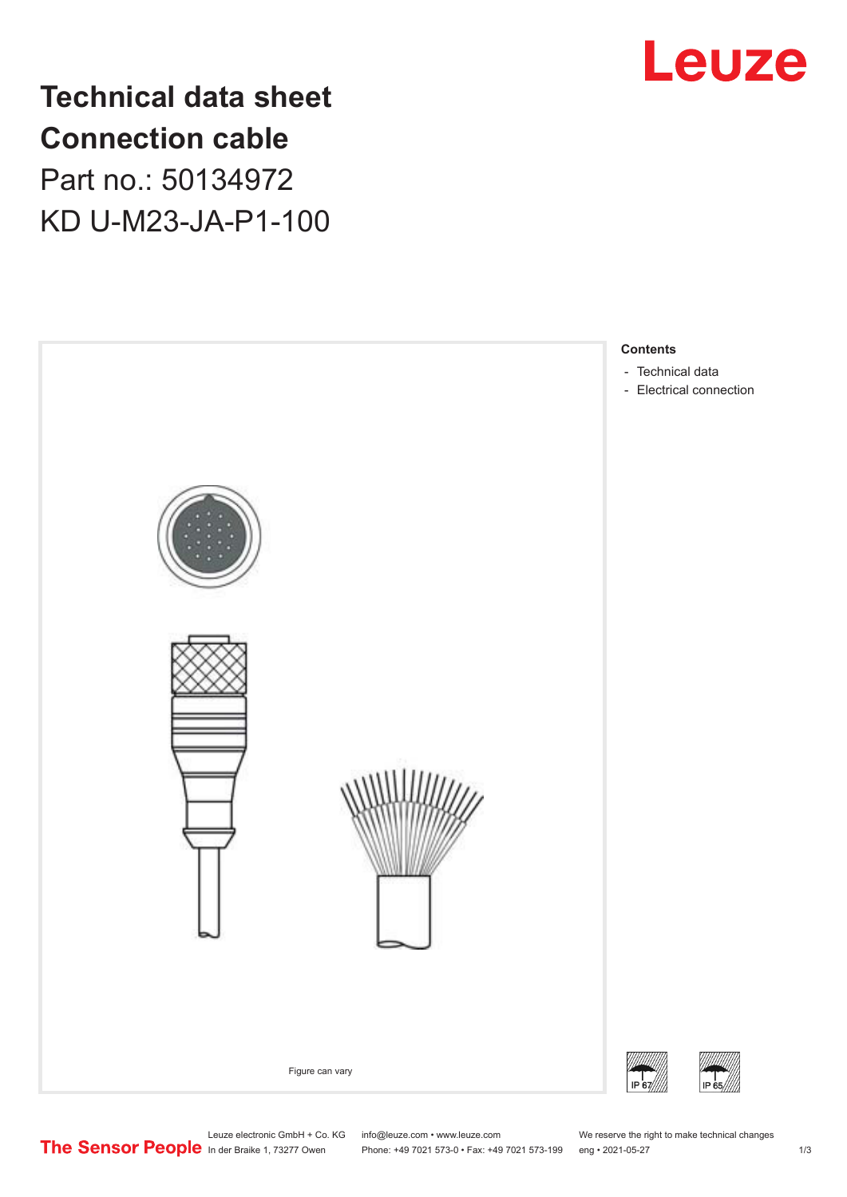

## **Technical data sheet Connection cable** Part no.: 50134972

KD U-M23-JA-P1-100



Leuze electronic GmbH + Co. KG info@leuze.com • www.leuze.com We reserve the right to make technical changes<br>
The Sensor People in der Braike 1, 73277 Owen Phone: +49 7021 573-0 • Fax: +49 7021 573-199 eng • 2021-05-27

Phone: +49 7021 573-0 • Fax: +49 7021 573-199 eng • 2021-05-27 1 2021-05-27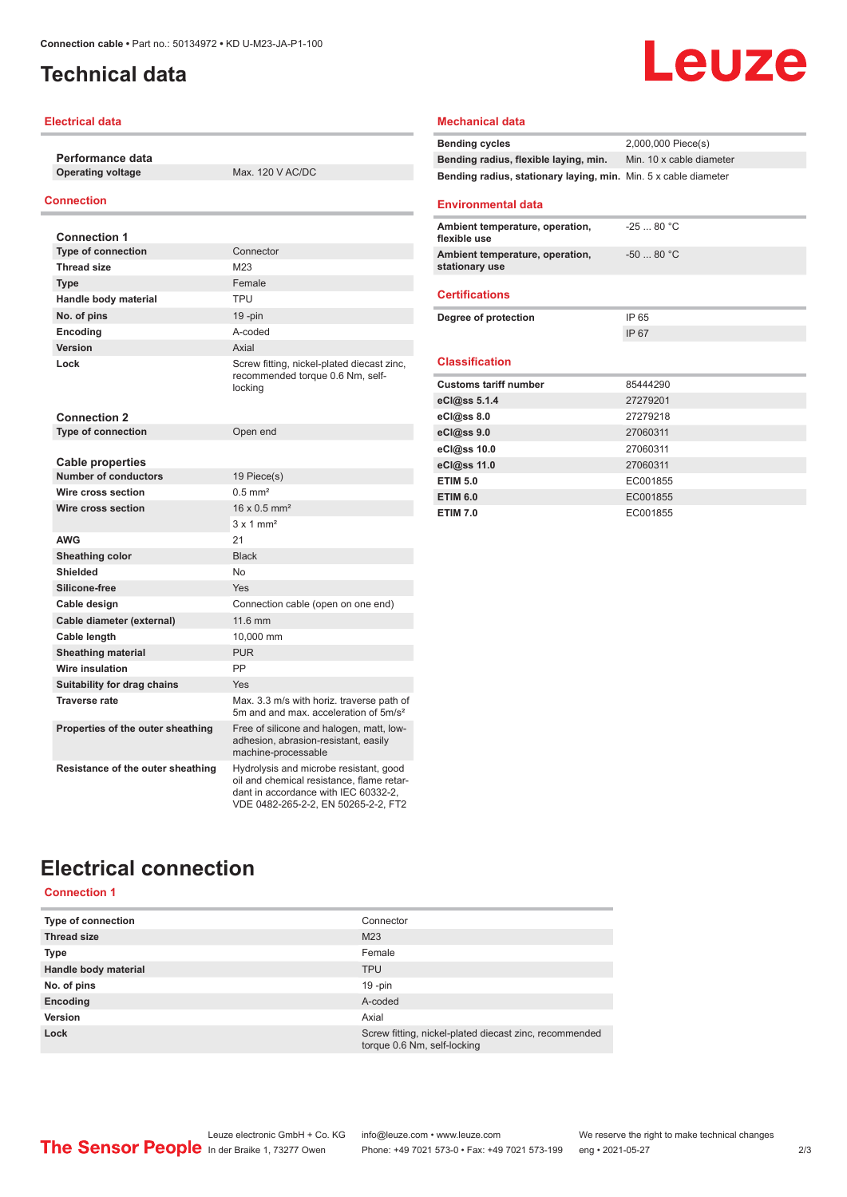## <span id="page-1-0"></span>**Technical data**

#### **Electrical data**

**Performance data Operating voltage** Max. 120 V AC/DC

### **Connection**

| <b>Connection 1</b>               |                                                                                                                                                                    |
|-----------------------------------|--------------------------------------------------------------------------------------------------------------------------------------------------------------------|
| <b>Type of connection</b>         | Connector                                                                                                                                                          |
| <b>Thread size</b>                | M23                                                                                                                                                                |
| Type                              | Female                                                                                                                                                             |
| Handle body material              | TPU                                                                                                                                                                |
| No. of pins                       | $19 - pin$                                                                                                                                                         |
| Encoding                          | A-coded                                                                                                                                                            |
| Version                           | Axial                                                                                                                                                              |
| Lock                              | Screw fitting, nickel-plated diecast zinc,<br>recommended torque 0.6 Nm, self-<br>locking                                                                          |
| <b>Connection 2</b>               |                                                                                                                                                                    |
| <b>Type of connection</b>         | Open end                                                                                                                                                           |
|                                   |                                                                                                                                                                    |
| <b>Cable properties</b>           |                                                                                                                                                                    |
| <b>Number of conductors</b>       | 19 Piece(s)                                                                                                                                                        |
| Wire cross section                | $0.5$ mm <sup>2</sup>                                                                                                                                              |
| Wire cross section                | $16 \times 0.5$ mm <sup>2</sup>                                                                                                                                    |
|                                   | $3 \times 1$ mm <sup>2</sup>                                                                                                                                       |
| AWG                               | 21                                                                                                                                                                 |
| Sheathing color                   | <b>Black</b>                                                                                                                                                       |
| Shielded                          | <b>No</b>                                                                                                                                                          |
| Silicone-free                     | Yes                                                                                                                                                                |
| Cable design                      | Connection cable (open on one end)                                                                                                                                 |
| Cable diameter (external)         | 11.6 mm                                                                                                                                                            |
| Cable length                      | 10.000 mm                                                                                                                                                          |
| <b>Sheathing material</b>         | <b>PUR</b>                                                                                                                                                         |
| Wire insulation                   | PP                                                                                                                                                                 |
| Suitability for drag chains       | Yes                                                                                                                                                                |
| <b>Traverse rate</b>              | Max. 3.3 m/s with horiz. traverse path of<br>5m and and max, acceleration of 5m/s <sup>2</sup>                                                                     |
| Properties of the outer sheathing | Free of silicone and halogen, matt, low-<br>adhesion, abrasion-resistant, easily<br>machine-processable                                                            |
| Resistance of the outer sheathing | Hydrolysis and microbe resistant, good<br>oil and chemical resistance. flame retar-<br>dant in accordance with IEC 60332-2.<br>VDE 0482-265-2-2, EN 50265-2-2, FT2 |

# Leuze

#### **Mechanical data**

| <b>Bending cycles</b>                                           | 2,000,000 Piece(s)       |
|-----------------------------------------------------------------|--------------------------|
| Bending radius, flexible laying, min.                           | Min. 10 x cable diameter |
| Bending radius, stationary laying, min. Min. 5 x cable diameter |                          |
|                                                                 |                          |

### **Environmental data**

| Ambient temperature, operation,<br>flexible use   | $-2580 °C$  |
|---------------------------------------------------|-------------|
| Ambient temperature, operation,<br>stationary use | $-50$ 80 °C |
| <b>Certifications</b>                             |             |
| Degree of protection                              | IP 65       |
|                                                   | IP 67       |
|                                                   |             |
| <b>Classification</b>                             |             |
|                                                   |             |
| <b>Customs tariff number</b>                      | 85444290    |
| eCl@ss 5.1.4                                      | 27279201    |
| eCl@ss 8.0                                        | 27279218    |
| eCl@ss 9.0                                        | 27060311    |
| eCl@ss 10.0                                       | 27060311    |
| eCl@ss 11.0                                       | 27060311    |
| <b>ETIM 5.0</b>                                   | EC001855    |
| <b>ETIM 6.0</b>                                   | EC001855    |

## **Electrical connection**

**Connection 1**

| Type of connection   | Connector                                                                             |
|----------------------|---------------------------------------------------------------------------------------|
| <b>Thread size</b>   | M23                                                                                   |
| <b>Type</b>          | Female                                                                                |
| Handle body material | <b>TPU</b>                                                                            |
| No. of pins          | $19 - pin$                                                                            |
| Encoding             | A-coded                                                                               |
| Version              | Axial                                                                                 |
| Lock                 | Screw fitting, nickel-plated diecast zinc, recommended<br>torque 0.6 Nm, self-locking |